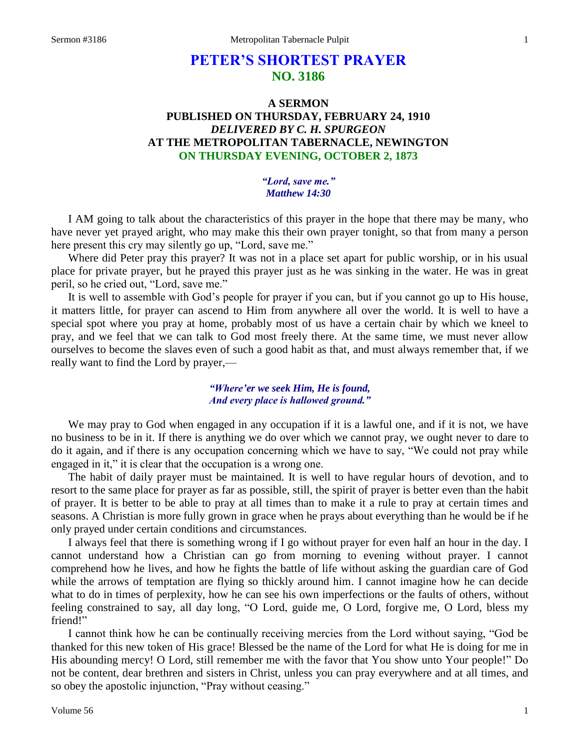# **PETER'S SHORTEST PRAYER NO. 3186**

# **A SERMON PUBLISHED ON THURSDAY, FEBRUARY 24, 1910** *DELIVERED BY C. H. SPURGEON* **AT THE METROPOLITAN TABERNACLE, NEWINGTON ON THURSDAY EVENING, OCTOBER 2, 1873**

*"Lord, save me." Matthew 14:30*

I AM going to talk about the characteristics of this prayer in the hope that there may be many, who have never yet prayed aright, who may make this their own prayer tonight, so that from many a person here present this cry may silently go up, "Lord, save me."

Where did Peter pray this prayer? It was not in a place set apart for public worship, or in his usual place for private prayer, but he prayed this prayer just as he was sinking in the water. He was in great peril, so he cried out, "Lord, save me."

It is well to assemble with God's people for prayer if you can, but if you cannot go up to His house, it matters little, for prayer can ascend to Him from anywhere all over the world. It is well to have a special spot where you pray at home, probably most of us have a certain chair by which we kneel to pray, and we feel that we can talk to God most freely there. At the same time, we must never allow ourselves to become the slaves even of such a good habit as that, and must always remember that, if we really want to find the Lord by prayer,—

### *"Where'er we seek Him, He is found, And every place is hallowed ground."*

We may pray to God when engaged in any occupation if it is a lawful one, and if it is not, we have no business to be in it. If there is anything we do over which we cannot pray, we ought never to dare to do it again, and if there is any occupation concerning which we have to say, "We could not pray while engaged in it," it is clear that the occupation is a wrong one.

The habit of daily prayer must be maintained. It is well to have regular hours of devotion, and to resort to the same place for prayer as far as possible, still, the spirit of prayer is better even than the habit of prayer. It is better to be able to pray at all times than to make it a rule to pray at certain times and seasons. A Christian is more fully grown in grace when he prays about everything than he would be if he only prayed under certain conditions and circumstances.

I always feel that there is something wrong if I go without prayer for even half an hour in the day. I cannot understand how a Christian can go from morning to evening without prayer. I cannot comprehend how he lives, and how he fights the battle of life without asking the guardian care of God while the arrows of temptation are flying so thickly around him. I cannot imagine how he can decide what to do in times of perplexity, how he can see his own imperfections or the faults of others, without feeling constrained to say, all day long, "O Lord, guide me, O Lord, forgive me, O Lord, bless my friend!"

I cannot think how he can be continually receiving mercies from the Lord without saying, "God be thanked for this new token of His grace! Blessed be the name of the Lord for what He is doing for me in His abounding mercy! O Lord, still remember me with the favor that You show unto Your people!" Do not be content, dear brethren and sisters in Christ, unless you can pray everywhere and at all times, and so obey the apostolic injunction, "Pray without ceasing."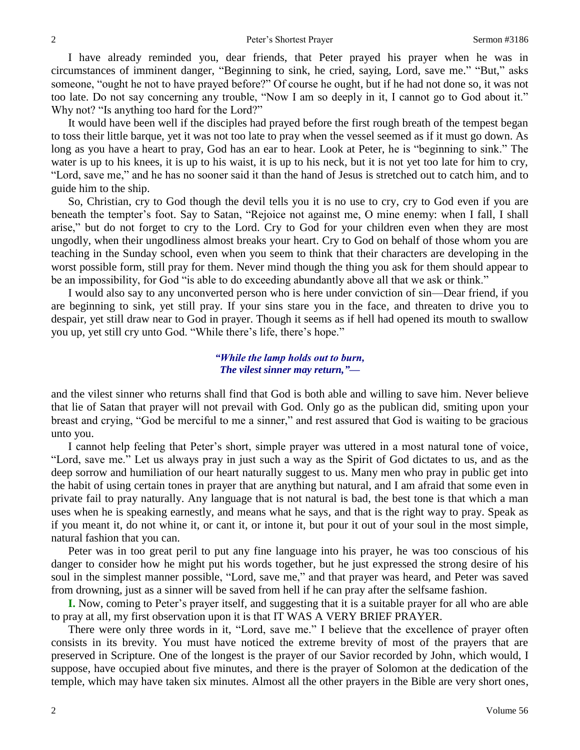I have already reminded you, dear friends, that Peter prayed his prayer when he was in circumstances of imminent danger, "Beginning to sink, he cried, saying, Lord, save me." "But," asks someone, "ought he not to have prayed before?" Of course he ought, but if he had not done so, it was not too late. Do not say concerning any trouble, "Now I am so deeply in it, I cannot go to God about it." Why not? "Is anything too hard for the Lord?"

It would have been well if the disciples had prayed before the first rough breath of the tempest began to toss their little barque, yet it was not too late to pray when the vessel seemed as if it must go down. As long as you have a heart to pray, God has an ear to hear. Look at Peter, he is "beginning to sink." The water is up to his knees, it is up to his waist, it is up to his neck, but it is not yet too late for him to cry, "Lord, save me," and he has no sooner said it than the hand of Jesus is stretched out to catch him, and to guide him to the ship.

So, Christian, cry to God though the devil tells you it is no use to cry, cry to God even if you are beneath the tempter's foot. Say to Satan, "Rejoice not against me, O mine enemy: when I fall, I shall arise," but do not forget to cry to the Lord. Cry to God for your children even when they are most ungodly, when their ungodliness almost breaks your heart. Cry to God on behalf of those whom you are teaching in the Sunday school, even when you seem to think that their characters are developing in the worst possible form, still pray for them. Never mind though the thing you ask for them should appear to be an impossibility, for God "is able to do exceeding abundantly above all that we ask or think."

I would also say to any unconverted person who is here under conviction of sin—Dear friend, if you are beginning to sink, yet still pray. If your sins stare you in the face, and threaten to drive you to despair, yet still draw near to God in prayer. Though it seems as if hell had opened its mouth to swallow you up, yet still cry unto God. "While there's life, there's hope."

#### *"While the lamp holds out to burn, The vilest sinner may return,"—*

and the vilest sinner who returns shall find that God is both able and willing to save him. Never believe that lie of Satan that prayer will not prevail with God. Only go as the publican did, smiting upon your breast and crying, "God be merciful to me a sinner," and rest assured that God is waiting to be gracious unto you.

I cannot help feeling that Peter's short, simple prayer was uttered in a most natural tone of voice, "Lord, save me." Let us always pray in just such a way as the Spirit of God dictates to us, and as the deep sorrow and humiliation of our heart naturally suggest to us. Many men who pray in public get into the habit of using certain tones in prayer that are anything but natural, and I am afraid that some even in private fail to pray naturally. Any language that is not natural is bad, the best tone is that which a man uses when he is speaking earnestly, and means what he says, and that is the right way to pray. Speak as if you meant it, do not whine it, or cant it, or intone it, but pour it out of your soul in the most simple, natural fashion that you can.

Peter was in too great peril to put any fine language into his prayer, he was too conscious of his danger to consider how he might put his words together, but he just expressed the strong desire of his soul in the simplest manner possible, "Lord, save me," and that prayer was heard, and Peter was saved from drowning, just as a sinner will be saved from hell if he can pray after the selfsame fashion.

**I.** Now, coming to Peter's prayer itself, and suggesting that it is a suitable prayer for all who are able to pray at all, my first observation upon it is that IT WAS A VERY BRIEF PRAYER.

There were only three words in it, "Lord, save me." I believe that the excellence of prayer often consists in its brevity. You must have noticed the extreme brevity of most of the prayers that are preserved in Scripture. One of the longest is the prayer of our Savior recorded by John, which would, I suppose, have occupied about five minutes, and there is the prayer of Solomon at the dedication of the temple, which may have taken six minutes. Almost all the other prayers in the Bible are very short ones,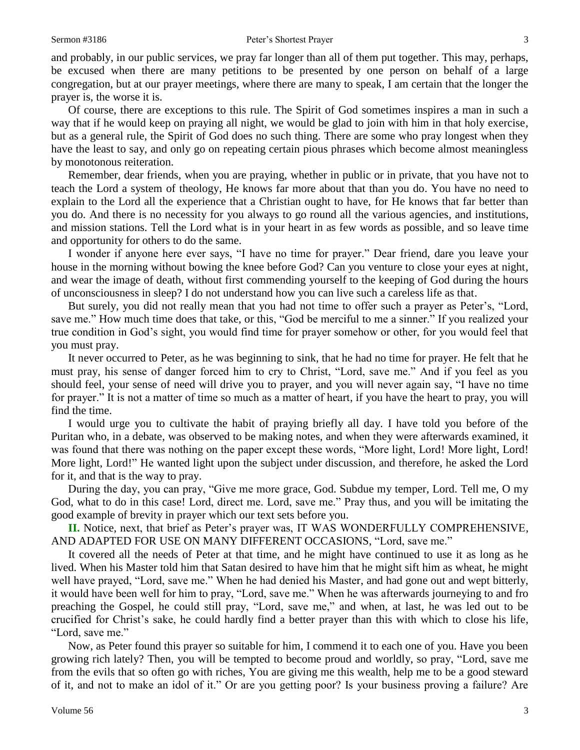and probably, in our public services, we pray far longer than all of them put together. This may, perhaps, be excused when there are many petitions to be presented by one person on behalf of a large congregation, but at our prayer meetings, where there are many to speak, I am certain that the longer the prayer is, the worse it is.

Of course, there are exceptions to this rule. The Spirit of God sometimes inspires a man in such a way that if he would keep on praying all night, we would be glad to join with him in that holy exercise, but as a general rule, the Spirit of God does no such thing. There are some who pray longest when they have the least to say, and only go on repeating certain pious phrases which become almost meaningless by monotonous reiteration.

Remember, dear friends, when you are praying, whether in public or in private, that you have not to teach the Lord a system of theology, He knows far more about that than you do. You have no need to explain to the Lord all the experience that a Christian ought to have, for He knows that far better than you do. And there is no necessity for you always to go round all the various agencies, and institutions, and mission stations. Tell the Lord what is in your heart in as few words as possible, and so leave time and opportunity for others to do the same.

I wonder if anyone here ever says, "I have no time for prayer." Dear friend, dare you leave your house in the morning without bowing the knee before God? Can you venture to close your eyes at night, and wear the image of death, without first commending yourself to the keeping of God during the hours of unconsciousness in sleep? I do not understand how you can live such a careless life as that.

But surely, you did not really mean that you had not time to offer such a prayer as Peter's, "Lord, save me." How much time does that take, or this, "God be merciful to me a sinner." If you realized your true condition in God's sight, you would find time for prayer somehow or other, for you would feel that you must pray.

It never occurred to Peter, as he was beginning to sink, that he had no time for prayer. He felt that he must pray, his sense of danger forced him to cry to Christ, "Lord, save me." And if you feel as you should feel, your sense of need will drive you to prayer, and you will never again say, "I have no time for prayer." It is not a matter of time so much as a matter of heart, if you have the heart to pray, you will find the time.

I would urge you to cultivate the habit of praying briefly all day. I have told you before of the Puritan who, in a debate, was observed to be making notes, and when they were afterwards examined, it was found that there was nothing on the paper except these words, "More light, Lord! More light, Lord! More light, Lord!" He wanted light upon the subject under discussion, and therefore, he asked the Lord for it, and that is the way to pray.

During the day, you can pray, "Give me more grace, God. Subdue my temper, Lord. Tell me, O my God, what to do in this case! Lord, direct me. Lord, save me." Pray thus, and you will be imitating the good example of brevity in prayer which our text sets before you.

**II.** Notice, next, that brief as Peter's prayer was, IT WAS WONDERFULLY COMPREHENSIVE, AND ADAPTED FOR USE ON MANY DIFFERENT OCCASIONS, "Lord, save me."

It covered all the needs of Peter at that time, and he might have continued to use it as long as he lived. When his Master told him that Satan desired to have him that he might sift him as wheat, he might well have prayed, "Lord, save me." When he had denied his Master, and had gone out and wept bitterly, it would have been well for him to pray, "Lord, save me." When he was afterwards journeying to and fro preaching the Gospel, he could still pray, "Lord, save me," and when, at last, he was led out to be crucified for Christ's sake, he could hardly find a better prayer than this with which to close his life, "Lord, save me."

Now, as Peter found this prayer so suitable for him, I commend it to each one of you. Have you been growing rich lately? Then, you will be tempted to become proud and worldly, so pray, "Lord, save me from the evils that so often go with riches, You are giving me this wealth, help me to be a good steward of it, and not to make an idol of it." Or are you getting poor? Is your business proving a failure? Are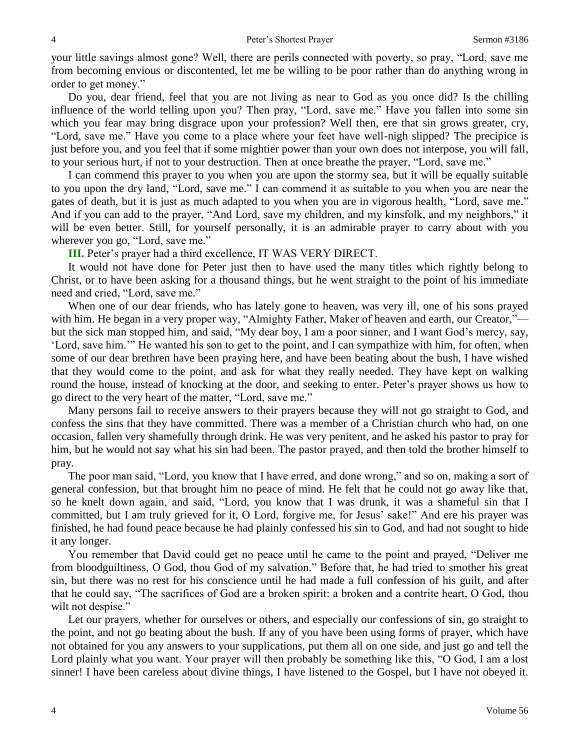your little savings almost gone? Well, there are perils connected with poverty, so pray, "Lord, save me from becoming envious or discontented, let me be willing to be poor rather than do anything wrong in order to get money."

Do you, dear friend, feel that you are not living as near to God as you once did? Is the chilling influence of the world telling upon you? Then pray, "Lord, save me." Have you fallen into some sin which you fear may bring disgrace upon your profession? Well then, ere that sin grows greater, cry, "Lord, save me." Have you come to a place where your feet have well-nigh slipped? The precipice is just before you, and you feel that if some mightier power than your own does not interpose, you will fall, to your serious hurt, if not to your destruction. Then at once breathe the prayer, "Lord, save me."

I can commend this prayer to you when you are upon the stormy sea, but it will be equally suitable to you upon the dry land, "Lord, save me." I can commend it as suitable to you when you are near the gates of death, but it is just as much adapted to you when you are in vigorous health, "Lord, save me." And if you can add to the prayer, "And Lord, save my children, and my kinsfolk, and my neighbors," it will be even better. Still, for yourself personally, it is an admirable prayer to carry about with you wherever you go, "Lord, save me."

**III.** Peter's prayer had a third excellence, IT WAS VERY DIRECT.

It would not have done for Peter just then to have used the many titles which rightly belong to Christ, or to have been asking for a thousand things, but he went straight to the point of his immediate need and cried, "Lord, save me."

When one of our dear friends, who has lately gone to heaven, was very ill, one of his sons prayed with him. He began in a very proper way, "Almighty Father, Maker of heaven and earth, our Creator," but the sick man stopped him, and said, "My dear boy, I am a poor sinner, and I want God's mercy, say, 'Lord, save him.'" He wanted his son to get to the point, and I can sympathize with him, for often, when some of our dear brethren have been praying here, and have been beating about the bush, I have wished that they would come to the point, and ask for what they really needed. They have kept on walking round the house, instead of knocking at the door, and seeking to enter. Peter's prayer shows us how to go direct to the very heart of the matter, "Lord, save me."

Many persons fail to receive answers to their prayers because they will not go straight to God, and confess the sins that they have committed. There was a member of a Christian church who had, on one occasion, fallen very shamefully through drink. He was very penitent, and he asked his pastor to pray for him, but he would not say what his sin had been. The pastor prayed, and then told the brother himself to pray.

The poor man said, "Lord, you know that I have erred, and done wrong," and so on, making a sort of general confession, but that brought him no peace of mind. He felt that he could not go away like that, so he knelt down again, and said, "Lord, you know that I was drunk, it was a shameful sin that I committed, but I am truly grieved for it, O Lord, forgive me, for Jesus' sake!" And ere his prayer was finished, he had found peace because he had plainly confessed his sin to God, and had not sought to hide it any longer.

You remember that David could get no peace until he came to the point and prayed, "Deliver me from bloodguiltiness, O God, thou God of my salvation." Before that, he had tried to smother his great sin, but there was no rest for his conscience until he had made a full confession of his guilt, and after that he could say, "The sacrifices of God are a broken spirit: a broken and a contrite heart, O God, thou wilt not despise."

Let our prayers, whether for ourselves or others, and especially our confessions of sin, go straight to the point, and not go beating about the bush. If any of you have been using forms of prayer, which have not obtained for you any answers to your supplications, put them all on one side, and just go and tell the Lord plainly what you want. Your prayer will then probably be something like this, "O God, I am a lost sinner! I have been careless about divine things, I have listened to the Gospel, but I have not obeyed it.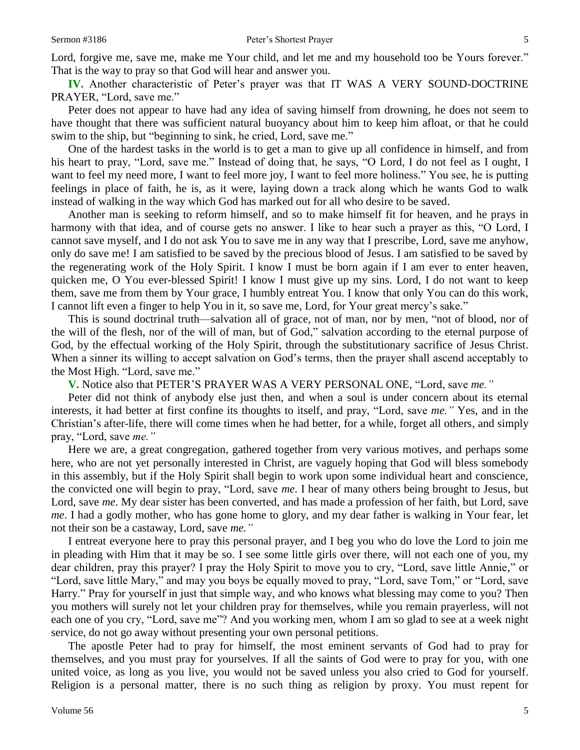Lord, forgive me, save me, make me Your child, and let me and my household too be Yours forever." That is the way to pray so that God will hear and answer you.

**IV.** Another characteristic of Peter's prayer was that IT WAS A VERY SOUND-DOCTRINE PRAYER, "Lord, save me."

Peter does not appear to have had any idea of saving himself from drowning, he does not seem to have thought that there was sufficient natural buoyancy about him to keep him afloat, or that he could swim to the ship, but "beginning to sink, he cried, Lord, save me."

One of the hardest tasks in the world is to get a man to give up all confidence in himself, and from his heart to pray, "Lord, save me." Instead of doing that, he says, "O Lord, I do not feel as I ought, I want to feel my need more, I want to feel more joy, I want to feel more holiness." You see, he is putting feelings in place of faith, he is, as it were, laying down a track along which he wants God to walk instead of walking in the way which God has marked out for all who desire to be saved.

Another man is seeking to reform himself, and so to make himself fit for heaven, and he prays in harmony with that idea, and of course gets no answer. I like to hear such a prayer as this, "O Lord, I cannot save myself, and I do not ask You to save me in any way that I prescribe, Lord, save me anyhow, only do save me! I am satisfied to be saved by the precious blood of Jesus. I am satisfied to be saved by the regenerating work of the Holy Spirit. I know I must be born again if I am ever to enter heaven, quicken me, O You ever-blessed Spirit! I know I must give up my sins. Lord, I do not want to keep them, save me from them by Your grace, I humbly entreat You. I know that only You can do this work, I cannot lift even a finger to help You in it, so save me, Lord, for Your great mercy's sake."

This is sound doctrinal truth—salvation all of grace, not of man, nor by men, "not of blood, nor of the will of the flesh, nor of the will of man, but of God," salvation according to the eternal purpose of God, by the effectual working of the Holy Spirit, through the substitutionary sacrifice of Jesus Christ. When a sinner its willing to accept salvation on God's terms, then the prayer shall ascend acceptably to the Most High. "Lord, save me."

**V.** Notice also that PETER'S PRAYER WAS A VERY PERSONAL ONE, "Lord, save *me."*

Peter did not think of anybody else just then, and when a soul is under concern about its eternal interests, it had better at first confine its thoughts to itself, and pray, "Lord, save *me."* Yes, and in the Christian's after-life, there will come times when he had better, for a while, forget all others, and simply pray, "Lord, save *me."*

Here we are, a great congregation, gathered together from very various motives, and perhaps some here, who are not yet personally interested in Christ, are vaguely hoping that God will bless somebody in this assembly, but if the Holy Spirit shall begin to work upon some individual heart and conscience, the convicted one will begin to pray, "Lord, save *me*. I hear of many others being brought to Jesus, but Lord, save *me*. My dear sister has been converted, and has made a profession of her faith, but Lord, save *me*. I had a godly mother, who has gone home to glory, and my dear father is walking in Your fear, let not their son be a castaway, Lord, save *me."*

I entreat everyone here to pray this personal prayer, and I beg you who do love the Lord to join me in pleading with Him that it may be so. I see some little girls over there, will not each one of you, my dear children, pray this prayer? I pray the Holy Spirit to move you to cry, "Lord, save little Annie," or "Lord, save little Mary," and may you boys be equally moved to pray, "Lord, save Tom," or "Lord, save Harry." Pray for yourself in just that simple way, and who knows what blessing may come to you? Then you mothers will surely not let your children pray for themselves, while you remain prayerless, will not each one of you cry, "Lord, save me"? And you working men, whom I am so glad to see at a week night service, do not go away without presenting your own personal petitions.

The apostle Peter had to pray for himself, the most eminent servants of God had to pray for themselves, and you must pray for yourselves. If all the saints of God were to pray for you, with one united voice, as long as you live, you would not be saved unless you also cried to God for yourself. Religion is a personal matter, there is no such thing as religion by proxy. You must repent for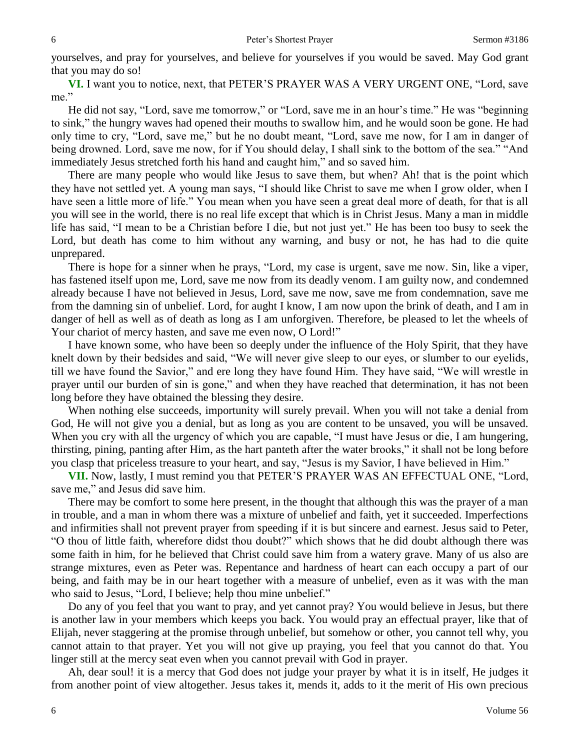yourselves, and pray for yourselves, and believe for yourselves if you would be saved. May God grant that you may do so!

**VI.** I want you to notice, next, that PETER'S PRAYER WAS A VERY URGENT ONE, "Lord, save me."

He did not say, "Lord, save me tomorrow," or "Lord, save me in an hour's time." He was "beginning to sink," the hungry waves had opened their mouths to swallow him, and he would soon be gone. He had only time to cry, "Lord, save me," but he no doubt meant, "Lord, save me now, for I am in danger of being drowned. Lord, save me now, for if You should delay, I shall sink to the bottom of the sea." "And immediately Jesus stretched forth his hand and caught him," and so saved him.

There are many people who would like Jesus to save them, but when? Ah! that is the point which they have not settled yet. A young man says, "I should like Christ to save me when I grow older, when I have seen a little more of life." You mean when you have seen a great deal more of death, for that is all you will see in the world, there is no real life except that which is in Christ Jesus. Many a man in middle life has said, "I mean to be a Christian before I die, but not just yet." He has been too busy to seek the Lord, but death has come to him without any warning, and busy or not, he has had to die quite unprepared.

There is hope for a sinner when he prays, "Lord, my case is urgent, save me now. Sin, like a viper, has fastened itself upon me, Lord, save me now from its deadly venom. I am guilty now, and condemned already because I have not believed in Jesus, Lord, save me now, save me from condemnation, save me from the damning sin of unbelief. Lord, for aught I know, I am now upon the brink of death, and I am in danger of hell as well as of death as long as I am unforgiven. Therefore, be pleased to let the wheels of Your chariot of mercy hasten, and save me even now, O Lord!"

I have known some, who have been so deeply under the influence of the Holy Spirit, that they have knelt down by their bedsides and said, "We will never give sleep to our eyes, or slumber to our eyelids, till we have found the Savior," and ere long they have found Him. They have said, "We will wrestle in prayer until our burden of sin is gone," and when they have reached that determination, it has not been long before they have obtained the blessing they desire.

When nothing else succeeds, importunity will surely prevail. When you will not take a denial from God, He will not give you a denial, but as long as you are content to be unsaved, you will be unsaved. When you cry with all the urgency of which you are capable, "I must have Jesus or die, I am hungering, thirsting, pining, panting after Him, as the hart panteth after the water brooks," it shall not be long before you clasp that priceless treasure to your heart, and say, "Jesus is my Savior, I have believed in Him."

**VII.** Now, lastly, I must remind you that PETER'S PRAYER WAS AN EFFECTUAL ONE, "Lord, save me," and Jesus did save him.

There may be comfort to some here present, in the thought that although this was the prayer of a man in trouble, and a man in whom there was a mixture of unbelief and faith, yet it succeeded. Imperfections and infirmities shall not prevent prayer from speeding if it is but sincere and earnest. Jesus said to Peter, "O thou of little faith, wherefore didst thou doubt?" which shows that he did doubt although there was some faith in him, for he believed that Christ could save him from a watery grave. Many of us also are strange mixtures, even as Peter was. Repentance and hardness of heart can each occupy a part of our being, and faith may be in our heart together with a measure of unbelief, even as it was with the man who said to Jesus, "Lord, I believe; help thou mine unbelief."

Do any of you feel that you want to pray, and yet cannot pray? You would believe in Jesus, but there is another law in your members which keeps you back. You would pray an effectual prayer, like that of Elijah, never staggering at the promise through unbelief, but somehow or other, you cannot tell why, you cannot attain to that prayer. Yet you will not give up praying, you feel that you cannot do that. You linger still at the mercy seat even when you cannot prevail with God in prayer.

Ah, dear soul! it is a mercy that God does not judge your prayer by what it is in itself, He judges it from another point of view altogether. Jesus takes it, mends it, adds to it the merit of His own precious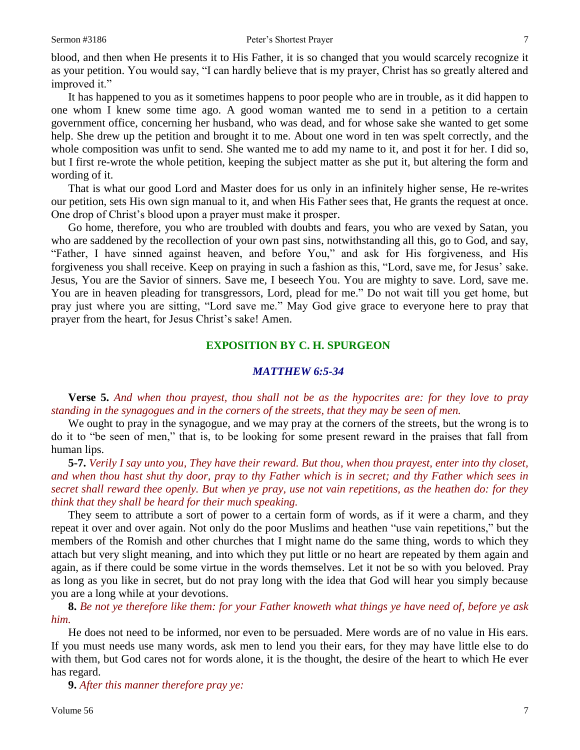blood, and then when He presents it to His Father, it is so changed that you would scarcely recognize it as your petition. You would say, "I can hardly believe that is my prayer, Christ has so greatly altered and improved it."

It has happened to you as it sometimes happens to poor people who are in trouble, as it did happen to one whom I knew some time ago. A good woman wanted me to send in a petition to a certain government office, concerning her husband, who was dead, and for whose sake she wanted to get some help. She drew up the petition and brought it to me. About one word in ten was spelt correctly, and the whole composition was unfit to send. She wanted me to add my name to it, and post it for her. I did so, but I first re-wrote the whole petition, keeping the subject matter as she put it, but altering the form and wording of it.

That is what our good Lord and Master does for us only in an infinitely higher sense, He re-writes our petition, sets His own sign manual to it, and when His Father sees that, He grants the request at once. One drop of Christ's blood upon a prayer must make it prosper.

Go home, therefore, you who are troubled with doubts and fears, you who are vexed by Satan, you who are saddened by the recollection of your own past sins, notwithstanding all this, go to God, and say, "Father, I have sinned against heaven, and before You," and ask for His forgiveness, and His forgiveness you shall receive. Keep on praying in such a fashion as this, "Lord, save me, for Jesus' sake. Jesus, You are the Savior of sinners. Save me, I beseech You. You are mighty to save. Lord, save me. You are in heaven pleading for transgressors, Lord, plead for me." Do not wait till you get home, but pray just where you are sitting, "Lord save me." May God give grace to everyone here to pray that prayer from the heart, for Jesus Christ's sake! Amen.

### **EXPOSITION BY C. H. SPURGEON**

## *MATTHEW 6:5-34*

**Verse 5.** *And when thou prayest, thou shall not be as the hypocrites are: for they love to pray standing in the synagogues and in the corners of the streets, that they may be seen of men.*

We ought to pray in the synagogue, and we may pray at the corners of the streets, but the wrong is to do it to "be seen of men," that is, to be looking for some present reward in the praises that fall from human lips.

**5-7.** *Verily I say unto you, They have their reward. But thou, when thou prayest, enter into thy closet, and when thou hast shut thy door, pray to thy Father which is in secret; and thy Father which sees in secret shall reward thee openly. But when ye pray, use not vain repetitions, as the heathen do: for they think that they shall be heard for their much speaking.*

They seem to attribute a sort of power to a certain form of words, as if it were a charm, and they repeat it over and over again. Not only do the poor Muslims and heathen "use vain repetitions," but the members of the Romish and other churches that I might name do the same thing, words to which they attach but very slight meaning, and into which they put little or no heart are repeated by them again and again, as if there could be some virtue in the words themselves. Let it not be so with you beloved. Pray as long as you like in secret, but do not pray long with the idea that God will hear you simply because you are a long while at your devotions.

**8.** *Be not ye therefore like them: for your Father knoweth what things ye have need of, before ye ask him.*

He does not need to be informed, nor even to be persuaded. Mere words are of no value in His ears. If you must needs use many words, ask men to lend you their ears, for they may have little else to do with them, but God cares not for words alone, it is the thought, the desire of the heart to which He ever has regard.

**9.** *After this manner therefore pray ye:*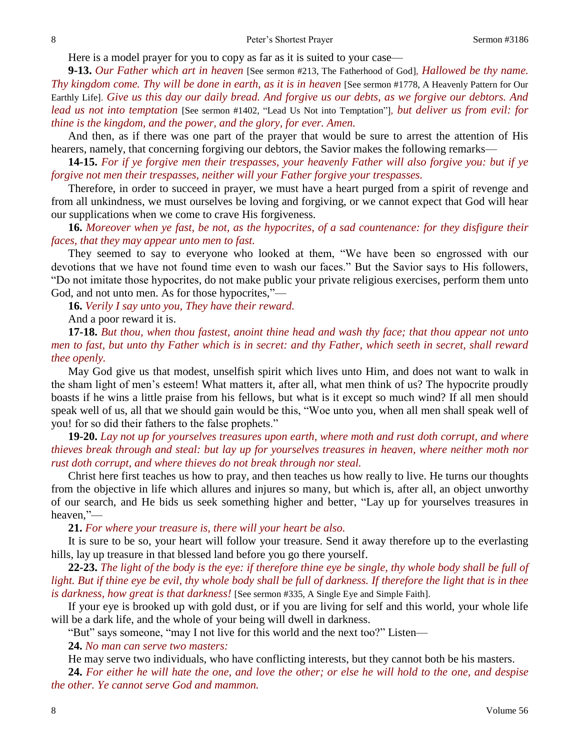Here is a model prayer for you to copy as far as it is suited to your case—

**9-13.** *Our Father which art in heaven* [See sermon #213, The Fatherhood of God], *Hallowed be thy name. Thy kingdom come. Thy will be done in earth, as it is in heaven* [See sermon #1778, A Heavenly Pattern for Our Earthly Life]. *Give us this day our daily bread. And forgive us our debts, as we forgive our debtors. And lead us not into temptation* [See sermon #1402, "Lead Us Not into Temptation"], *but deliver us from evil: for thine is the kingdom, and the power, and the glory, for ever. Amen.*

And then, as if there was one part of the prayer that would be sure to arrest the attention of His hearers, namely, that concerning forgiving our debtors, the Savior makes the following remarks—

**14-15.** *For if ye forgive men their trespasses, your heavenly Father will also forgive you: but if ye forgive not men their trespasses, neither will your Father forgive your trespasses.*

Therefore, in order to succeed in prayer, we must have a heart purged from a spirit of revenge and from all unkindness, we must ourselves be loving and forgiving, or we cannot expect that God will hear our supplications when we come to crave His forgiveness.

**16.** *Moreover when ye fast, be not, as the hypocrites, of a sad countenance: for they disfigure their faces, that they may appear unto men to fast.*

They seemed to say to everyone who looked at them, "We have been so engrossed with our devotions that we have not found time even to wash our faces." But the Savior says to His followers, "Do not imitate those hypocrites, do not make public your private religious exercises, perform them unto God, and not unto men. As for those hypocrites,"—

**16.** *Verily I say unto you, They have their reward.*

And a poor reward it is.

**17-18.** *But thou, when thou fastest, anoint thine head and wash thy face; that thou appear not unto men to fast, but unto thy Father which is in secret: and thy Father, which seeth in secret, shall reward thee openly.*

May God give us that modest, unselfish spirit which lives unto Him, and does not want to walk in the sham light of men's esteem! What matters it, after all, what men think of us? The hypocrite proudly boasts if he wins a little praise from his fellows, but what is it except so much wind? If all men should speak well of us, all that we should gain would be this, "Woe unto you, when all men shall speak well of you! for so did their fathers to the false prophets."

**19-20.** *Lay not up for yourselves treasures upon earth, where moth and rust doth corrupt, and where thieves break through and steal: but lay up for yourselves treasures in heaven, where neither moth nor rust doth corrupt, and where thieves do not break through nor steal.*

Christ here first teaches us how to pray, and then teaches us how really to live. He turns our thoughts from the objective in life which allures and injures so many, but which is, after all, an object unworthy of our search, and He bids us seek something higher and better, "Lay up for yourselves treasures in heaven,"—

**21.** *For where your treasure is, there will your heart be also.*

It is sure to be so, your heart will follow your treasure. Send it away therefore up to the everlasting hills, lay up treasure in that blessed land before you go there yourself.

**22-23.** *The light of the body is the eye: if therefore thine eye be single, thy whole body shall be full of light. But if thine eye be evil, thy whole body shall be full of darkness. If therefore the light that is in thee is darkness, how great is that darkness!* [See sermon #335, A Single Eye and Simple Faith].

If your eye is brooked up with gold dust, or if you are living for self and this world, your whole life will be a dark life, and the whole of your being will dwell in darkness.

"But" says someone, "may I not live for this world and the next too?" Listen—

**24.** *No man can serve two masters:*

He may serve two individuals, who have conflicting interests, but they cannot both be his masters.

**24.** *For either he will hate the one, and love the other; or else he will hold to the one, and despise the other. Ye cannot serve God and mammon.*